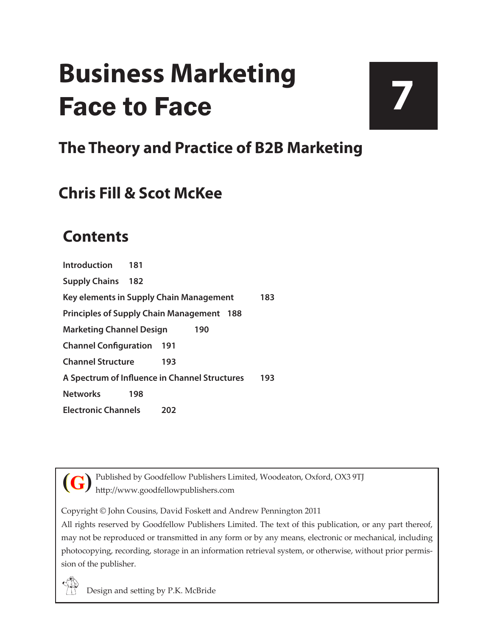## **Business Marketing** Face to Face

# **7**

### **The Theory and Practice of B2B Marketing**

#### **Chris Fill & Scot McKee**

#### **Contents**

**[Introduction](#page--1-0) 181 [Supply Chains](#page--1-0) 182 [Key elements in Supply Chain Management](#page--1-0) 183 [Principles of Supply Chain Management](#page--1-0) 188 [Marketing Channel Design](#page--1-0) 190 [Channel Configuration](#page--1-0) 191 [Channel Structure](#page--1-0) 193 [A Spectrum of Influence in Channel Structures](#page--1-0) 193 [Networks](#page--1-0) 198 [Electronic Channels](#page--1-0) 202**



Published by Goodfellow Publishers Limited, Woodeaton, Oxford, OX3 9TJ http://www.goodfellowpublishers.com

Copyright © John Cousins, David Foskett and Andrew Pennington 2011

All rights reserved by Goodfellow Publishers Limited. The text of this publication, or any part thereof, may not be reproduced or transmitted in any form or by any means, electronic or mechanical, including photocopying, recording, storage in an information retrieval system, or otherwise, without prior permission of the publisher.

Design and setting by P.K. McBride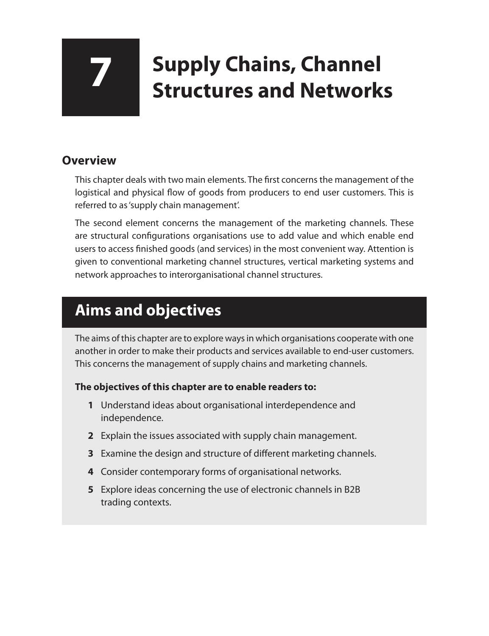## **7 Supply Chains, Channel Structures and Networks**

#### **Overview**

This chapter deals with two main elements. The first concerns the management of the logistical and physical flow of goods from producers to end user customers. This is referred to as 'supply chain management'.

The second element concerns the management of the marketing channels. These are structural configurations organisations use to add value and which enable end users to access finished goods (and services) in the most convenient way. Attention is given to conventional marketing channel structures, vertical marketing systems and network approaches to interorganisational channel structures.

### **Aims and objectives**

The aims of this chapter are to explore ways in which organisations cooperate with one another in order to make their products and services available to end-user customers. This concerns the management of supply chains and marketing channels.

#### **The objectives of this chapter are to enable readers to:**

- **1** Understand ideas about organisational interdependence and independence.
- **2** Explain the issues associated with supply chain management.
- **3** Examine the design and structure of different marketing channels.
- **4** Consider contemporary forms of organisational networks.
- **5** Explore ideas concerning the use of electronic channels in B2B trading contexts.